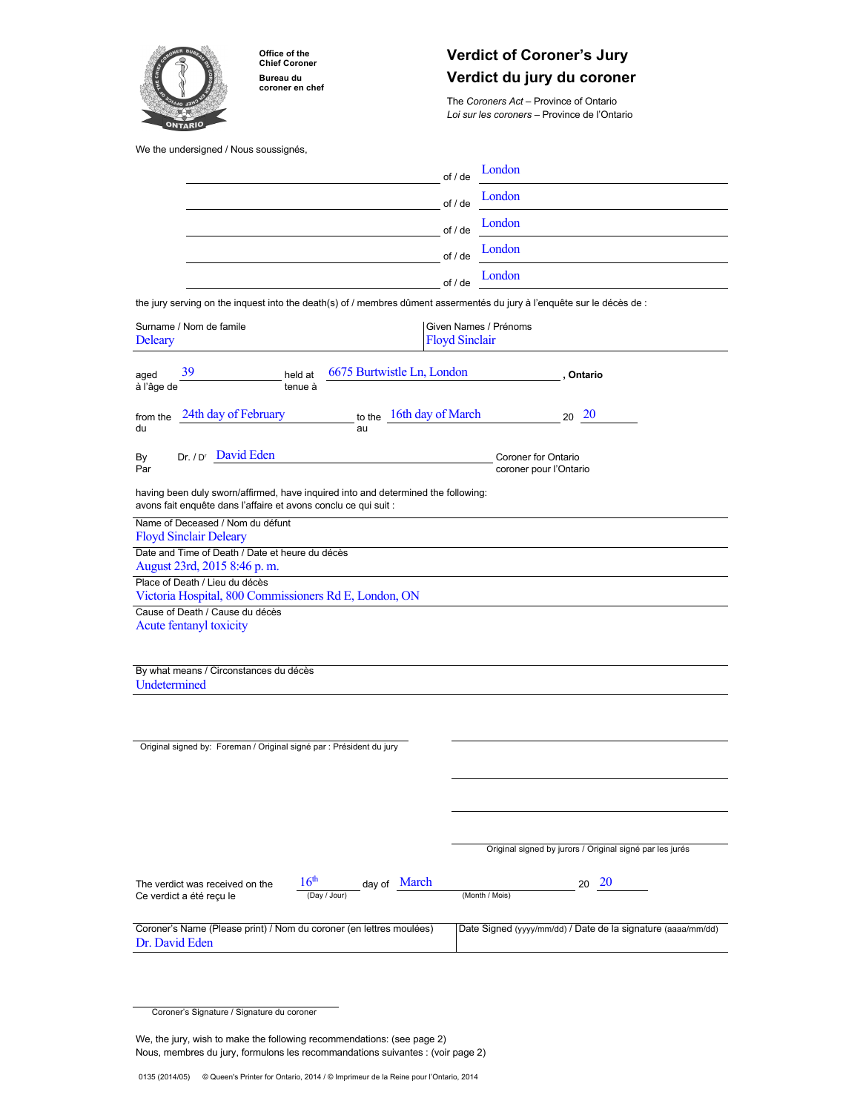

**Office of the Chief Coroner Bureau du coroner en chef**

# **Verdict of Coroner's Jury Verdict du jury du coroner**

The *Coroners Act* – Province of Ontario *Loi sur les coroners* – Province de l'Ontario

We the undersigned / Nous soussignés,

|                                                                                                                                                      | London<br>of / de                                            |
|------------------------------------------------------------------------------------------------------------------------------------------------------|--------------------------------------------------------------|
|                                                                                                                                                      | London<br>of / de                                            |
|                                                                                                                                                      | London<br>of / de                                            |
|                                                                                                                                                      | London<br>of / de                                            |
|                                                                                                                                                      | London<br>of / de                                            |
| the jury serving on the inquest into the death(s) of / membres dûment assermentés du jury à l'enquête sur le décès de :                              |                                                              |
| Surname / Nom de famile<br>Given Names / Prénoms<br><b>Floyd Sinclair</b><br><b>Deleary</b>                                                          |                                                              |
| 39<br>6675 Burtwistle Ln, London<br>aged<br>held at<br>à l'âge de<br>tenue à                                                                         | , Ontario                                                    |
| 24th day of February<br>to the 16th day of March<br>from the<br>du<br>au                                                                             | $20\ 20$                                                     |
| Dr. / D <sup>r</sup> David Eden<br>By<br>Par                                                                                                         | Coroner for Ontario<br>coroner pour l'Ontario                |
| having been duly sworn/affirmed, have inquired into and determined the following:<br>avons fait enquête dans l'affaire et avons conclu ce qui suit : |                                                              |
| Name of Deceased / Nom du défunt                                                                                                                     |                                                              |
| <b>Floyd Sinclair Deleary</b><br>Date and Time of Death / Date et heure du décès                                                                     |                                                              |
| August 23rd, 2015 8:46 p.m.                                                                                                                          |                                                              |
| Place of Death / Lieu du décès<br>Victoria Hospital, 800 Commissioners Rd E, London, ON                                                              |                                                              |
| Cause of Death / Cause du décès                                                                                                                      |                                                              |
| Acute fentanyl toxicity                                                                                                                              |                                                              |
|                                                                                                                                                      |                                                              |
| By what means / Circonstances du décès<br>Undetermined                                                                                               |                                                              |
|                                                                                                                                                      |                                                              |
| Original signed by: Foreman / Original signé par : Président du jury                                                                                 |                                                              |
|                                                                                                                                                      |                                                              |
|                                                                                                                                                      |                                                              |
|                                                                                                                                                      |                                                              |
|                                                                                                                                                      | Original signed by jurors / Original signé par les jurés     |
|                                                                                                                                                      |                                                              |
| 16 <sup>th</sup><br>alay of March<br>The verdict was received on the<br>(Day / Jour)<br>Ce verdict a été reçu le                                     | -20<br>20<br>(Month / Mois)                                  |
| Coroner's Name (Please print) / Nom du coroner (en lettres moulées)<br>Dr. David Eden                                                                | Date Signed (yyyy/mm/dd) / Date de la signature (aaaa/mm/dd) |

We, the jury, wish to make the following recommendations: (see page 2) Nous, membres du jury, formulons les recommandations suivantes : (voir page 2)

Coroner's Signature / Signature du coroner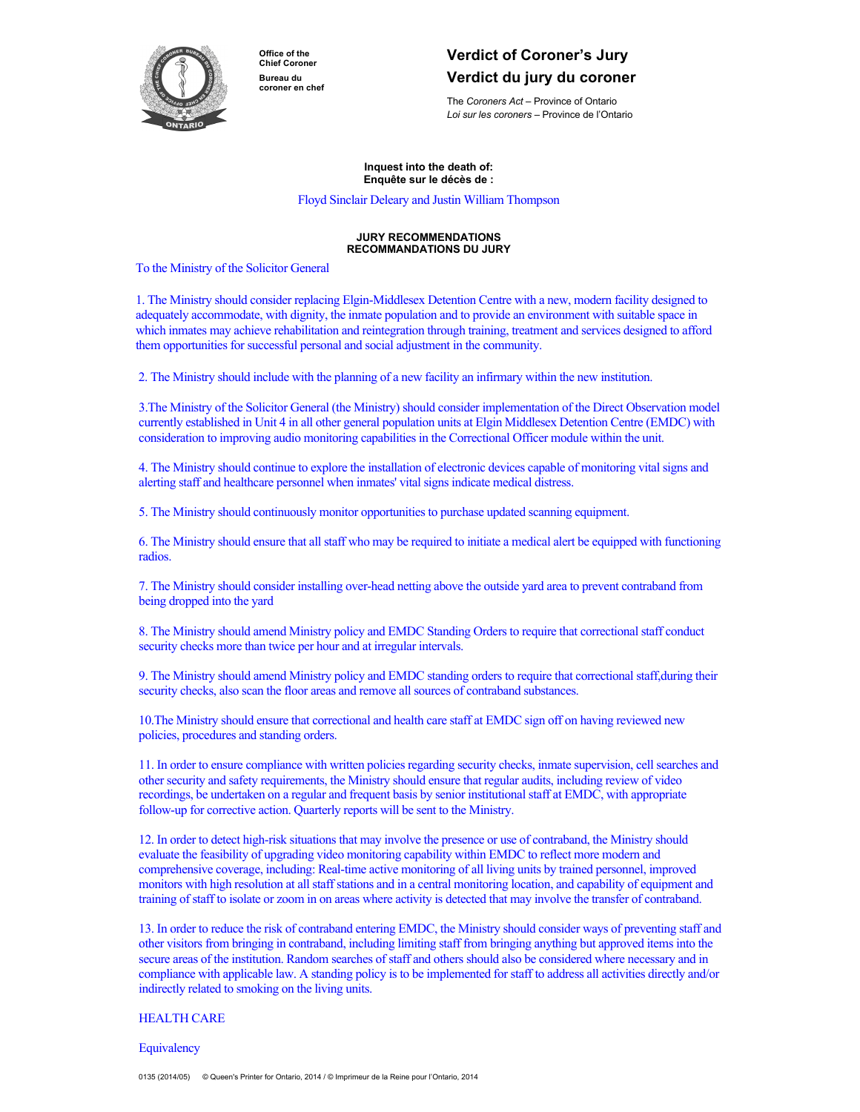

**Office of the Chief Coroner Bureau du coroner en chef**

# **Verdict of Coroner's Jury Verdict du jury du coroner**

The *Coroners Act* – Province of Ontario *Loi sur les coroners* – Province de l'Ontario

**Inquest into the death of: Enquête sur le décès de :**

Floyd Sinclair Deleary and Justin William Thompson

## **JURY RECOMMENDATIONS RECOMMANDATIONS DU JURY**

To the Ministry of the Solicitor General

1. The Ministry should consider replacing Elgin-Middlesex Detention Centre with a new, modern facility designed to adequately accommodate, with dignity, the inmate population and to provide an environment with suitable space in which inmates may achieve rehabilitation and reintegration through training, treatment and services designed to afford them opportunities for successful personal and social adjustment in the community.

2. The Ministry should include with the planning of a new facility an infirmary within the new institution.

3.The Ministry of the Solicitor General (the Ministry) should consider implementation of the Direct Observation model currently established in Unit 4 in all other general population units at Elgin Middlesex Detention Centre (EMDC) with consideration to improving audio monitoring capabilities in the Correctional Officer module within the unit.

4. The Ministry should continue to explore the installation of electronic devices capable of monitoring vital signs and alerting staff and healthcare personnel when inmates' vital signs indicate medical distress.

5. The Ministry should continuously monitor opportunities to purchase updated scanning equipment.

6. The Ministry should ensure that all staff who may be required to initiate a medical alert be equipped with functioning radios.

7. The Ministry should consider installing over-head netting above the outside yard area to prevent contraband from being dropped into the yard

8. The Ministry should amend Ministry policy and EMDC Standing Orders to require that correctional staff conduct security checks more than twice per hour and at irregular intervals.

9. The Ministry should amend Ministry policy and EMDC standing orders to require that correctional staff,during their security checks, also scan the floor areas and remove all sources of contraband substances.

10.The Ministry should ensure that correctional and health care staff at EMDC sign off on having reviewed new policies, procedures and standing orders.

11. In order to ensure compliance with written policies regarding security checks, inmate supervision, cell searches and other security and safety requirements, the Ministry should ensure that regular audits, including review of video recordings, be undertaken on a regular and frequent basis by senior institutional staff at EMDC, with appropriate follow-up for corrective action. Quarterly reports will be sent to the Ministry.

12. In order to detect high-risk situations that may involve the presence or use of contraband, the Ministry should evaluate the feasibility of upgrading video monitoring capability within EMDC to reflect more modern and comprehensive coverage, including: Real-time active monitoring of all living units by trained personnel, improved monitors with high resolution at all staff stations and in a central monitoring location, and capability of equipment and training of staff to isolate or zoom in on areas where activity is detected that may involve the transfer of contraband.

13. In order to reduce the risk of contraband entering EMDC, the Ministry should consider ways of preventing staff and other visitors from bringing in contraband, including limiting staff from bringing anything but approved items into the secure areas of the institution. Random searches of staff and others should also be considered where necessary and in compliance with applicable law. A standing policy is to be implemented for staff to address all activities directly and/or indirectly related to smoking on the living units.

# HEALTH CARE

**Equivalency**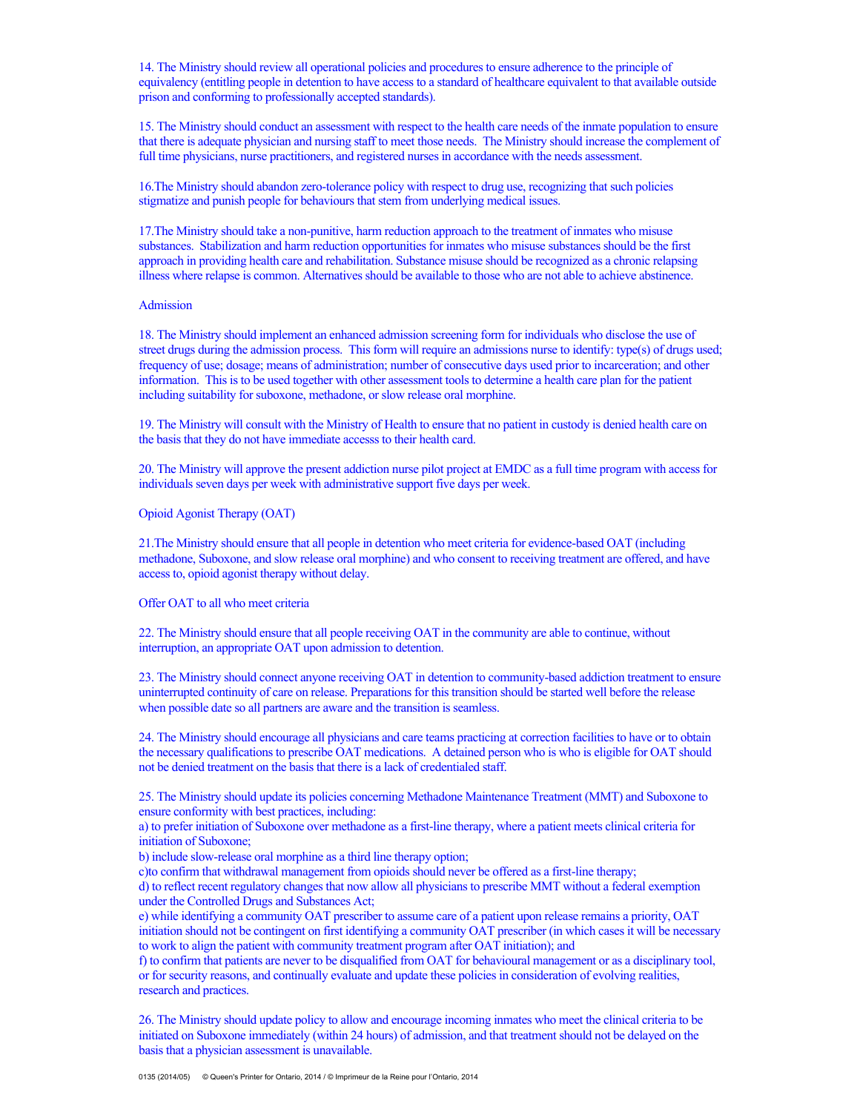14. The Ministry should review all operational policies and procedures to ensure adherence to the principle of equivalency (entitling people in detention to have access to a standard of healthcare equivalent to that available outside prison and conforming to professionally accepted standards).

15. The Ministry should conduct an assessment with respect to the health care needs of the inmate population to ensure that there is adequate physician and nursing staff to meet those needs. The Ministry should increase the complement of full time physicians, nurse practitioners, and registered nurses in accordance with the needs assessment.

16.The Ministry should abandon zero-tolerance policy with respect to drug use, recognizing that such policies stigmatize and punish people for behaviours that stem from underlying medical issues.

17.The Ministry should take a non-punitive, harm reduction approach to the treatment of inmates who misuse substances. Stabilization and harm reduction opportunities for inmates who misuse substances should be the first approach in providing health care and rehabilitation. Substance misuse should be recognized as a chronic relapsing illness where relapse is common. Alternatives should be available to those who are not able to achieve abstinence.

# Admission

18. The Ministry should implement an enhanced admission screening form for individuals who disclose the use of street drugs during the admission process. This form will require an admissions nurse to identify: type(s) of drugs used; frequency of use; dosage; means of administration; number of consecutive days used prior to incarceration; and other information. This is to be used together with other assessment tools to determine a health care plan for the patient including suitability for suboxone, methadone, or slow release oral morphine.

19. The Ministry will consult with the Ministry of Health to ensure that no patient in custody is denied health care on the basis that they do not have immediate accesss to their health card.

20. The Ministry will approve the present addiction nurse pilot project at EMDC as a full time program with access for individuals seven days per week with administrative support five days per week.

Opioid Agonist Therapy (OAT)

21.The Ministry should ensure that all people in detention who meet criteria for evidence-based OAT (including methadone, Suboxone, and slow release oral morphine) and who consent to receiving treatment are offered, and have access to, opioid agonist therapy without delay.

Offer OAT to all who meet criteria

22. The Ministry should ensure that all people receiving OAT in the community are able to continue, without interruption, an appropriate OAT upon admission to detention.

23. The Ministry should connect anyone receiving OAT in detention to community-based addiction treatment to ensure uninterrupted continuity of care on release. Preparations for this transition should be started well before the release when possible date so all partners are aware and the transition is seamless.

24. The Ministry should encourage all physicians and care teams practicing at correction facilities to have or to obtain the necessary qualifications to prescribe OAT medications. A detained person who is who is eligible for OAT should not be denied treatment on the basis that there is a lack of credentialed staff.

25. The Ministry should update its policies concerning Methadone Maintenance Treatment (MMT) and Suboxone to ensure conformity with best practices, including:

a) to prefer initiation of Suboxone over methadone as a first-line therapy, where a patient meets clinical criteria for initiation of Suboxone;

b) include slow-release oral morphine as a third line therapy option;

c)to confirm that withdrawal management from opioids should never be offered as a first-line therapy;

d) to reflect recent regulatory changes that now allow all physicians to prescribe MMT without a federal exemption under the Controlled Drugs and Substances Act;

e) while identifying a community OAT prescriber to assume care of a patient upon release remains a priority, OAT initiation should not be contingent on first identifying a community OAT prescriber (in which cases it will be necessary to work to align the patient with community treatment program after OAT initiation); and

f) to confirm that patients are never to be disqualified from OAT for behavioural management or as a disciplinary tool, or for security reasons, and continually evaluate and update these policies in consideration of evolving realities, research and practices.

26. The Ministry should update policy to allow and encourage incoming inmates who meet the clinical criteria to be initiated on Suboxone immediately (within 24 hours) of admission, and that treatment should not be delayed on the basis that a physician assessment is unavailable.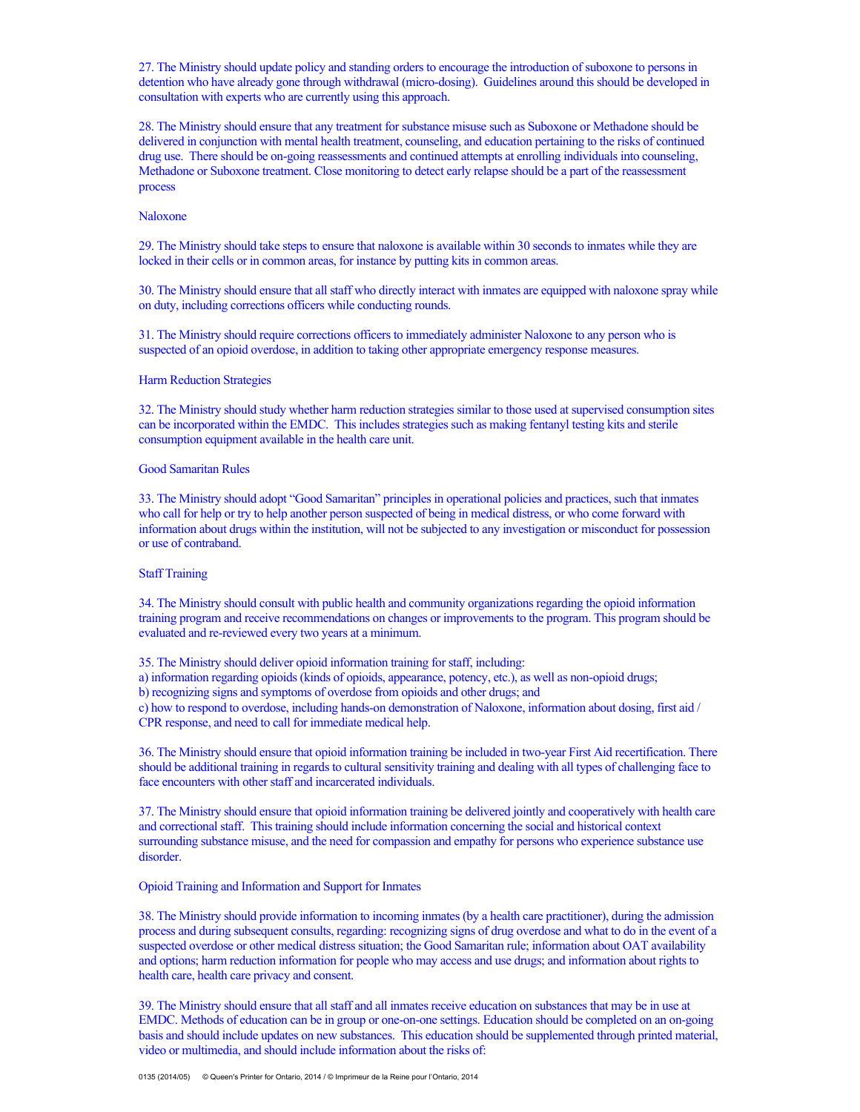27. The Ministry should update policy and standing orders to encourage the introduction of suboxone to persons in detention who have already gone through withdrawal (micro-dosing). Guidelines around this should be developed in consultation with experts who are currently using this approach.

28. The Ministry should ensure that any treatment for substance misuse such as Suboxone or Methadone should be delivered in conjunction with mental health treatment, counseling, and education pertaining to the risks of continued drug use. There should be on-going reassessments and continued attempts at enrolling individuals into counseling, Methadone or Suboxone treatment. Close monitoring to detect early relapse should be a part of the reassessment process

## Naloxone

29. The Ministry should take steps to ensure that naloxone is available within 30 seconds to inmates while they are locked in their cells or in common areas, for instance by putting kits in common areas.

30. The Ministry should ensure that all staff who directly interact with inmates are equipped with naloxone spray while on duty, including corrections officers while conducting rounds.

31. The Ministry should require corrections officers to immediately administer Naloxone to any person who is suspected of an opioid overdose, in addition to taking other appropriate emergency response measures.

## Harm Reduction Strategies

32. The Ministry should study whether harm reduction strategies similar to those used at supervised consumption sites can be incorporated within the EMDC. This includes strategies such as making fentanyl testing kits and sterile consumption equipment available in the health care unit.

# Good Samaritan Rules

33. The Ministry should adopt "Good Samaritan" principles in operational policies and practices, such that inmates who call for help or try to help another person suspected of being in medical distress, or who come forward with information about drugs within the institution, will not be subjected to any investigation or misconduct for possession or use of contraband.

#### Staff Training

34. The Ministry should consult with public health and community organizations regarding the opioid information training program and receive recommendations on changes or improvements to the program. This program should be evaluated and re-reviewed every two years at a minimum.

35. The Ministry should deliver opioid information training for staff, including:

- a) information regarding opioids (kinds of opioids, appearance, potency, etc.), as well as non-opioid drugs;
- b) recognizing signs and symptoms of overdose from opioids and other drugs; and

c) how to respond to overdose, including hands-on demonstration of Naloxone, information about dosing, first aid / CPR response, and need to call for immediate medical help.

36. The Ministry should ensure that opioid information training be included in two-year First Aid recertification. There should be additional training in regards to cultural sensitivity training and dealing with all types of challenging face to face encounters with other staff and incarcerated individuals.

37. The Ministry should ensure that opioid information training be delivered jointly and cooperatively with health care and correctional staff. This training should include information concerning the social and historical context surrounding substance misuse, and the need for compassion and empathy for persons who experience substance use disorder.

## Opioid Training and Information and Support for Inmates

38. The Ministry should provide information to incoming inmates (by a health care practitioner), during the admission process and during subsequent consults, regarding: recognizing signs of drug overdose and what to do in the event of a suspected overdose or other medical distress situation; the Good Samaritan rule; information about OAT availability and options; harm reduction information for people who may access and use drugs; and information about rights to health care, health care privacy and consent.

39. The Ministry should ensure that all staff and all inmates receive education on substances that may be in use at EMDC. Methods of education can be in group or one-on-one settings. Education should be completed on an on-going basis and should include updates on new substances. This education should be supplemented through printed material, video or multimedia, and should include information about the risks of: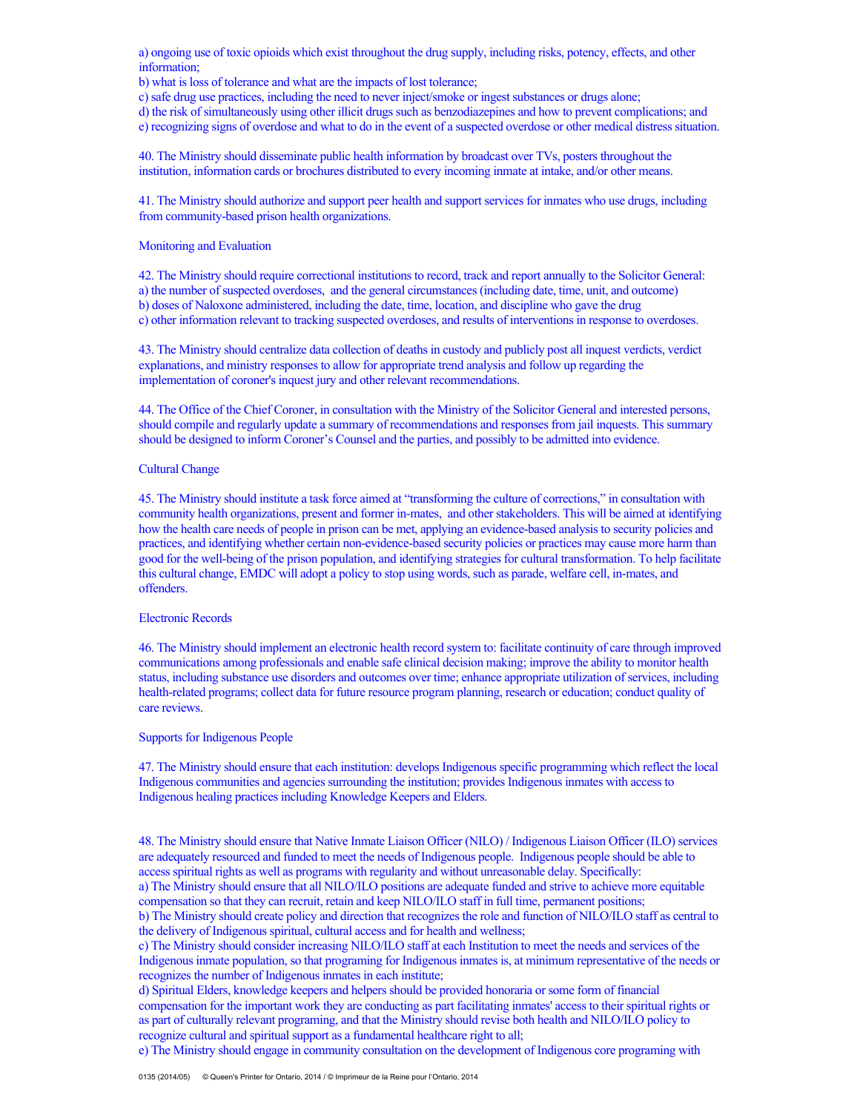a) ongoing use of toxic opioids which exist throughout the drug supply, including risks, potency, effects, and other information;

b) what is loss of tolerance and what are the impacts of lost tolerance;

c) safe drug use practices, including the need to never inject/smoke or ingest substances or drugs alone;

d) the risk of simultaneously using other illicit drugs such as benzodiazepines and how to prevent complications; and

e) recognizing signs of overdose and what to do in the event of a suspected overdose or other medical distress situation.

40. The Ministry should disseminate public health information by broadcast over TVs, posters throughout the institution, information cards or brochures distributed to every incoming inmate at intake, and/or other means.

41. The Ministry should authorize and support peer health and support services for inmates who use drugs, including from community-based prison health organizations.

## Monitoring and Evaluation

42. The Ministry should require correctional institutions to record, track and report annually to the Solicitor General: a) the number of suspected overdoses, and the general circumstances (including date, time, unit, and outcome) b) doses of Naloxone administered, including the date, time, location, and discipline who gave the drug c) other information relevant to tracking suspected overdoses, and results of interventions in response to overdoses.

43. The Ministry should centralize data collection of deaths in custody and publicly post all inquest verdicts, verdict explanations, and ministry responses to allow for appropriate trend analysis and follow up regarding the implementation of coroner's inquest jury and other relevant recommendations.

44. The Office of the Chief Coroner, in consultation with the Ministry of the Solicitor General and interested persons, should compile and regularly update a summary of recommendations and responses from jail inquests. This summary should be designed to inform Coroner's Counsel and the parties, and possibly to be admitted into evidence.

# Cultural Change

45. The Ministry should institute a task force aimed at "transforming the culture of corrections," in consultation with community health organizations, present and former in-mates, and other stakeholders. This will be aimed at identifying how the health care needs of people in prison can be met, applying an evidence-based analysis to security policies and practices, and identifying whether certain non-evidence-based security policies or practices may cause more harm than good for the well-being of the prison population, and identifying strategies for cultural transformation. To help facilitate this cultural change, EMDC will adopt a policy to stop using words, such as parade, welfare cell, in-mates, and offenders.

# Electronic Records

46. The Ministry should implement an electronic health record system to: facilitate continuity of care through improved communications among professionals and enable safe clinical decision making; improve the ability to monitor health status, including substance use disorders and outcomes over time; enhance appropriate utilization of services, including health-related programs; collect data for future resource program planning, research or education; conduct quality of care reviews.

#### Supports for Indigenous People

47. The Ministry should ensure that each institution: develops Indigenous specific programming which reflect the local Indigenous communities and agencies surrounding the institution; provides Indigenous inmates with access to Indigenous healing practices including Knowledge Keepers and Elders.

48. The Ministry should ensure that Native Inmate Liaison Officer (NILO) / Indigenous Liaison Officer (ILO) services are adequately resourced and funded to meet the needs of Indigenous people. Indigenous people should be able to access spiritual rights as well as programs with regularity and without unreasonable delay. Specifically: a) The Ministry should ensure that all NILO/ILO positions are adequate funded and strive to achieve more equitable compensation so that they can recruit, retain and keep NILO/ILO staff in full time, permanent positions;

b) The Ministry should create policy and direction that recognizes the role and function of NILO/ILO staff as central to the delivery of Indigenous spiritual, cultural access and for health and wellness;

c) The Ministry should consider increasing NILO/ILO staff at each Institution to meet the needs and services of the Indigenous inmate population, so that programing for Indigenous inmates is, at minimum representative of the needs or recognizes the number of Indigenous inmates in each institute;

d) Spiritual Elders, knowledge keepers and helpers should be provided honoraria or some form of financial compensation for the important work they are conducting as part facilitating inmates' access to their spiritual rights or as part of culturally relevant programing, and that the Ministry should revise both health and NILO/ILO policy to recognize cultural and spiritual support as a fundamental healthcare right to all;

e) The Ministry should engage in community consultation on the development of Indigenous core programing with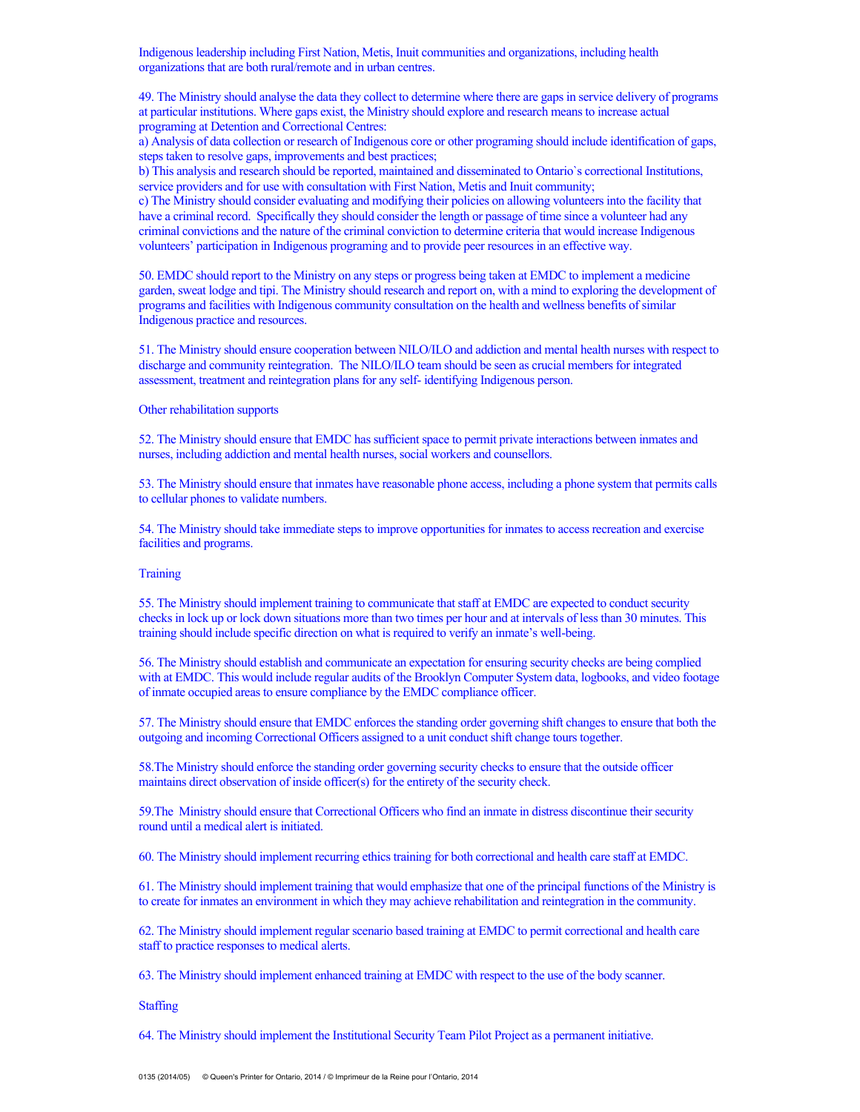Indigenous leadership including First Nation, Metis, Inuit communities and organizations, including health organizations that are both rural/remote and in urban centres.

49. The Ministry should analyse the data they collect to determine where there are gaps in service delivery of programs at particular institutions. Where gaps exist, the Ministry should explore and research means to increase actual programing at Detention and Correctional Centres:

a) Analysis of data collection or research of Indigenous core or other programing should include identification of gaps, steps taken to resolve gaps, improvements and best practices;

b) This analysis and research should be reported, maintained and disseminated to Ontario`s correctional Institutions, service providers and for use with consultation with First Nation, Metis and Inuit community;

c) The Ministry should consider evaluating and modifying their policies on allowing volunteers into the facility that have a criminal record. Specifically they should consider the length or passage of time since a volunteer had any criminal convictions and the nature of the criminal conviction to determine criteria that would increase Indigenous volunteers' participation in Indigenous programing and to provide peer resources in an effective way.

50. EMDC should report to the Ministry on any steps or progress being taken at EMDC to implement a medicine garden, sweat lodge and tipi. The Ministry should research and report on, with a mind to exploring the development of programs and facilities with Indigenous community consultation on the health and wellness benefits of similar Indigenous practice and resources.

51. The Ministry should ensure cooperation between NILO/ILO and addiction and mental health nurses with respect to discharge and community reintegration. The NILO/ILO team should be seen as crucial members for integrated assessment, treatment and reintegration plans for any self- identifying Indigenous person.

## Other rehabilitation supports

52. The Ministry should ensure that EMDC has sufficient space to permit private interactions between inmates and nurses, including addiction and mental health nurses, social workers and counsellors.

53. The Ministry should ensure that inmates have reasonable phone access, including a phone system that permits calls to cellular phones to validate numbers.

54. The Ministry should take immediate steps to improve opportunities for inmates to access recreation and exercise facilities and programs.

## **Training**

55. The Ministry should implement training to communicate that staff at EMDC are expected to conduct security checks in lock up or lock down situations more than two times per hour and at intervals of less than 30 minutes. This training should include specific direction on what is required to verify an inmate's well-being.

56. The Ministry should establish and communicate an expectation for ensuring security checks are being complied with at EMDC. This would include regular audits of the Brooklyn Computer System data, logbooks, and video footage of inmate occupied areas to ensure compliance by the EMDC compliance officer.

57. The Ministry should ensure that EMDC enforces the standing order governing shift changes to ensure that both the outgoing and incoming Correctional Officers assigned to a unit conduct shift change tours together.

58.The Ministry should enforce the standing order governing security checks to ensure that the outside officer maintains direct observation of inside officer(s) for the entirety of the security check.

59.The Ministry should ensure that Correctional Officers who find an inmate in distress discontinue their security round until a medical alert is initiated.

60. The Ministry should implement recurring ethics training for both correctional and health care staff at EMDC.

61. The Ministry should implement training that would emphasize that one of the principal functions of the Ministry is to create for inmates an environment in which they may achieve rehabilitation and reintegration in the community.

62. The Ministry should implement regular scenario based training at EMDC to permit correctional and health care staff to practice responses to medical alerts.

63. The Ministry should implement enhanced training at EMDC with respect to the use of the body scanner.

**Staffing** 

64. The Ministry should implement the Institutional Security Team Pilot Project as a permanent initiative.